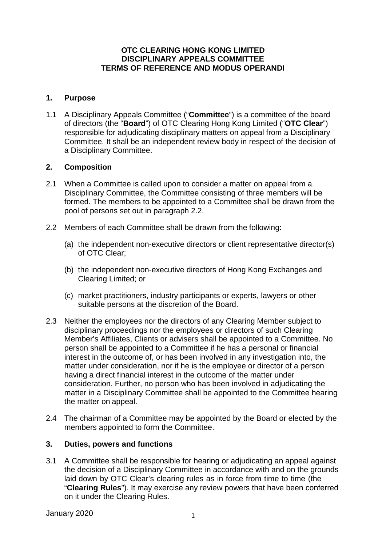### **OTC CLEARING HONG KONG LIMITED DISCIPLINARY APPEALS COMMITTEE TERMS OF REFERENCE AND MODUS OPERANDI**

### **1. Purpose**

1.1 A Disciplinary Appeals Committee ("**Committee**") is a committee of the board of directors (the "**Board**") of OTC Clearing Hong Kong Limited ("**OTC Clear**") responsible for adjudicating disciplinary matters on appeal from a Disciplinary Committee. It shall be an independent review body in respect of the decision of a Disciplinary Committee.

### **2. Composition**

- 2.1 When a Committee is called upon to consider a matter on appeal from a Disciplinary Committee, the Committee consisting of three members will be formed. The members to be appointed to a Committee shall be drawn from the pool of persons set out in paragraph 2.2.
- 2.2 Members of each Committee shall be drawn from the following:
	- (a) the independent non-executive directors or client representative director(s) of OTC Clear;
	- (b) the independent non-executive directors of Hong Kong Exchanges and Clearing Limited; or
	- (c) market practitioners, industry participants or experts, lawyers or other suitable persons at the discretion of the Board.
- 2.3 Neither the employees nor the directors of any Clearing Member subject to disciplinary proceedings nor the employees or directors of such Clearing Member's Affiliates, Clients or advisers shall be appointed to a Committee. No person shall be appointed to a Committee if he has a personal or financial interest in the outcome of, or has been involved in any investigation into, the matter under consideration, nor if he is the employee or director of a person having a direct financial interest in the outcome of the matter under consideration. Further, no person who has been involved in adjudicating the matter in a Disciplinary Committee shall be appointed to the Committee hearing the matter on appeal.
- 2.4 The chairman of a Committee may be appointed by the Board or elected by the members appointed to form the Committee.

#### **3. Duties, powers and functions**

3.1 A Committee shall be responsible for hearing or adjudicating an appeal against the decision of a Disciplinary Committee in accordance with and on the grounds laid down by OTC Clear's clearing rules as in force from time to time (the "**Clearing Rules**"). It may exercise any review powers that have been conferred on it under the Clearing Rules.